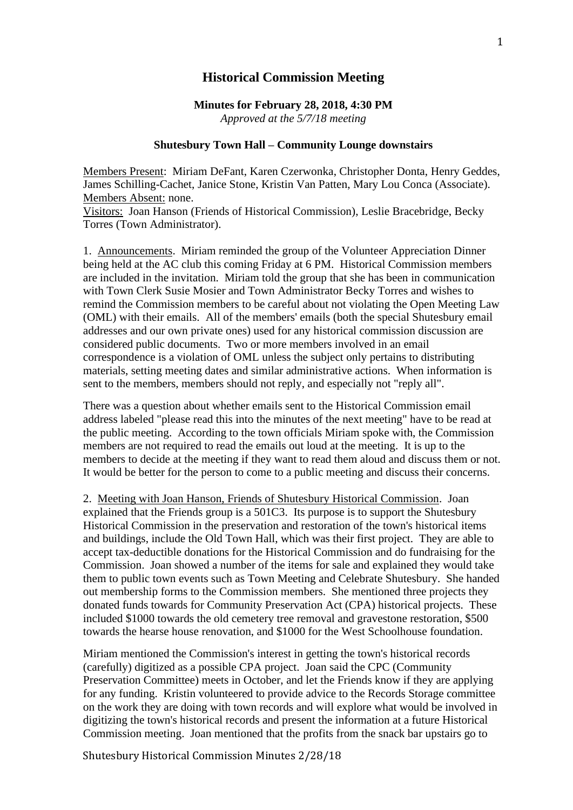## **Historical Commission Meeting**

**Minutes for February 28, 2018, 4:30 PM** *Approved at the 5/7/18 meeting*

## **Shutesbury Town Hall – Community Lounge downstairs**

Members Present: Miriam DeFant, Karen Czerwonka, Christopher Donta, Henry Geddes, James Schilling-Cachet, Janice Stone, Kristin Van Patten, Mary Lou Conca (Associate). Members Absent: none.

Visitors: Joan Hanson (Friends of Historical Commission), Leslie Bracebridge, Becky Torres (Town Administrator).

1. Announcements. Miriam reminded the group of the Volunteer Appreciation Dinner being held at the AC club this coming Friday at 6 PM. Historical Commission members are included in the invitation. Miriam told the group that she has been in communication with Town Clerk Susie Mosier and Town Administrator Becky Torres and wishes to remind the Commission members to be careful about not violating the Open Meeting Law (OML) with their emails. All of the members' emails (both the special Shutesbury email addresses and our own private ones) used for any historical commission discussion are considered public documents. Two or more members involved in an email correspondence is a violation of OML unless the subject only pertains to distributing materials, setting meeting dates and similar administrative actions. When information is sent to the members, members should not reply, and especially not "reply all".

There was a question about whether emails sent to the Historical Commission email address labeled "please read this into the minutes of the next meeting" have to be read at the public meeting. According to the town officials Miriam spoke with, the Commission members are not required to read the emails out loud at the meeting. It is up to the members to decide at the meeting if they want to read them aloud and discuss them or not. It would be better for the person to come to a public meeting and discuss their concerns.

2. Meeting with Joan Hanson, Friends of Shutesbury Historical Commission. Joan explained that the Friends group is a 501C3. Its purpose is to support the Shutesbury Historical Commission in the preservation and restoration of the town's historical items and buildings, include the Old Town Hall, which was their first project. They are able to accept tax-deductible donations for the Historical Commission and do fundraising for the Commission. Joan showed a number of the items for sale and explained they would take them to public town events such as Town Meeting and Celebrate Shutesbury. She handed out membership forms to the Commission members. She mentioned three projects they donated funds towards for Community Preservation Act (CPA) historical projects. These included \$1000 towards the old cemetery tree removal and gravestone restoration, \$500 towards the hearse house renovation, and \$1000 for the West Schoolhouse foundation.

Miriam mentioned the Commission's interest in getting the town's historical records (carefully) digitized as a possible CPA project. Joan said the CPC (Community Preservation Committee) meets in October, and let the Friends know if they are applying for any funding. Kristin volunteered to provide advice to the Records Storage committee on the work they are doing with town records and will explore what would be involved in digitizing the town's historical records and present the information at a future Historical Commission meeting. Joan mentioned that the profits from the snack bar upstairs go to

Shutesbury Historical Commission Minutes 2/28/18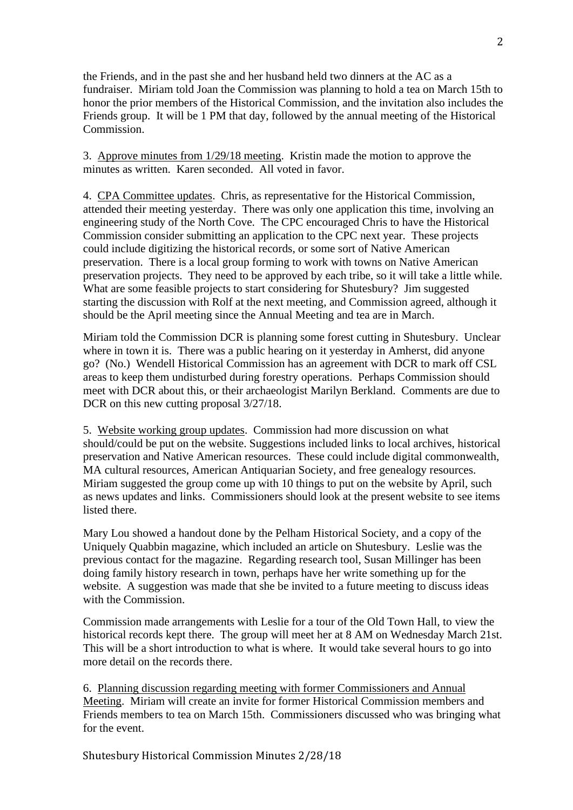the Friends, and in the past she and her husband held two dinners at the AC as a fundraiser. Miriam told Joan the Commission was planning to hold a tea on March 15th to honor the prior members of the Historical Commission, and the invitation also includes the Friends group. It will be 1 PM that day, followed by the annual meeting of the Historical Commission.

3. Approve minutes from 1/29/18 meeting. Kristin made the motion to approve the minutes as written. Karen seconded. All voted in favor.

4. CPA Committee updates. Chris, as representative for the Historical Commission, attended their meeting yesterday. There was only one application this time, involving an engineering study of the North Cove. The CPC encouraged Chris to have the Historical Commission consider submitting an application to the CPC next year. These projects could include digitizing the historical records, or some sort of Native American preservation. There is a local group forming to work with towns on Native American preservation projects. They need to be approved by each tribe, so it will take a little while. What are some feasible projects to start considering for Shutesbury? Jim suggested starting the discussion with Rolf at the next meeting, and Commission agreed, although it should be the April meeting since the Annual Meeting and tea are in March.

Miriam told the Commission DCR is planning some forest cutting in Shutesbury. Unclear where in town it is. There was a public hearing on it yesterday in Amherst, did anyone go? (No.) Wendell Historical Commission has an agreement with DCR to mark off CSL areas to keep them undisturbed during forestry operations. Perhaps Commission should meet with DCR about this, or their archaeologist Marilyn Berkland. Comments are due to DCR on this new cutting proposal  $3/27/18$ .

5. Website working group updates. Commission had more discussion on what should/could be put on the website. Suggestions included links to local archives, historical preservation and Native American resources. These could include digital commonwealth, MA cultural resources, American Antiquarian Society, and free genealogy resources. Miriam suggested the group come up with 10 things to put on the website by April, such as news updates and links. Commissioners should look at the present website to see items listed there.

Mary Lou showed a handout done by the Pelham Historical Society, and a copy of the Uniquely Quabbin magazine, which included an article on Shutesbury. Leslie was the previous contact for the magazine. Regarding research tool, Susan Millinger has been doing family history research in town, perhaps have her write something up for the website. A suggestion was made that she be invited to a future meeting to discuss ideas with the Commission.

Commission made arrangements with Leslie for a tour of the Old Town Hall, to view the historical records kept there. The group will meet her at 8 AM on Wednesday March 21st. This will be a short introduction to what is where. It would take several hours to go into more detail on the records there.

6. Planning discussion regarding meeting with former Commissioners and Annual Meeting. Miriam will create an invite for former Historical Commission members and Friends members to tea on March 15th. Commissioners discussed who was bringing what for the event.

Shutesbury Historical Commission Minutes 2/28/18